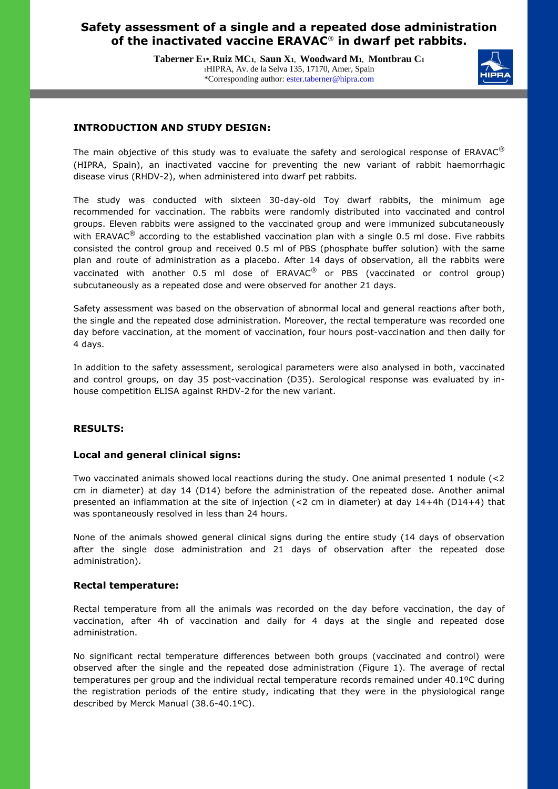# **Safety assessment of a single and a repeated dose administration of the inactivated vaccine ERAVAC**® **in dwarf pet rabbits.**

**Taberner E1\*, Ruiz MC1, Saun X1, Woodward M1, Montbrau C<sup>1</sup>** <sup>1</sup>HIPRA, Av. de la Selva 135, 17170, Amer, Spain \*Corresponding author: ester.taberner@hipra.com



## **INTRODUCTION AND STUDY DESIGN:**

The main objective of this study was to evaluate the safety and serological response of  $ERAVAC^{\circledast}$ (HIPRA, Spain), an inactivated vaccine for preventing the new variant of rabbit haemorrhagic disease virus (RHDV-2), when administered into dwarf pet rabbits.

The study was conducted with sixteen 30-day-old Toy dwarf rabbits, the minimum age recommended for vaccination. The rabbits were randomly distributed into vaccinated and control groups. Eleven rabbits were assigned to the vaccinated group and were immunized subcutaneously with ERAVAC<sup>®</sup> according to the established vaccination plan with a single 0.5 ml dose. Five rabbits consisted the control group and received 0.5 ml of PBS (phosphate buffer solution) with the same plan and route of administration as a placebo. After 14 days of observation, all the rabbits were vaccinated with another 0.5 ml dose of ERAVAC<sup>®</sup> or PBS (vaccinated or control group) subcutaneously as a repeated dose and were observed for another 21 days.

Safety assessment was based on the observation of abnormal local and general reactions after both, the single and the repeated dose administration. Moreover, the rectal temperature was recorded one day before vaccination, at the moment of vaccination, four hours post-vaccination and then daily for 4 days.

In addition to the safety assessment, serological parameters were also analysed in both, vaccinated and control groups, on day 35 post-vaccination (D35). Serological response was evaluated by inhouse competition ELISA against RHDV-2 for the new variant.

## **RESULTS:**

j Ī

### **Local and general clinical signs:**

Two vaccinated animals showed local reactions during the study. One animal presented 1 nodule (<2 cm in diameter) at day 14 (D14) before the administration of the repeated dose. Another animal presented an inflammation at the site of injection (<2 cm in diameter) at day 14+4h (D14+4) that was spontaneously resolved in less than 24 hours.

None of the animals showed general clinical signs during the entire study (14 days of observation after the single dose administration and 21 days of observation after the repeated dose administration).

### **Rectal temperature:**

Rectal temperature from all the animals was recorded on the day before vaccination, the day of vaccination, after 4h of vaccination and daily for 4 days at the single and repeated dose administration.

No significant rectal temperature differences between both groups (vaccinated and control) were observed after the single and the repeated dose administration (Figure 1). The average of rectal temperatures per group and the individual rectal temperature records remained under 40.1ºC during the registration periods of the entire study, indicating that they were in the physiological range described by Merck Manual (38.6-40.1ºC).